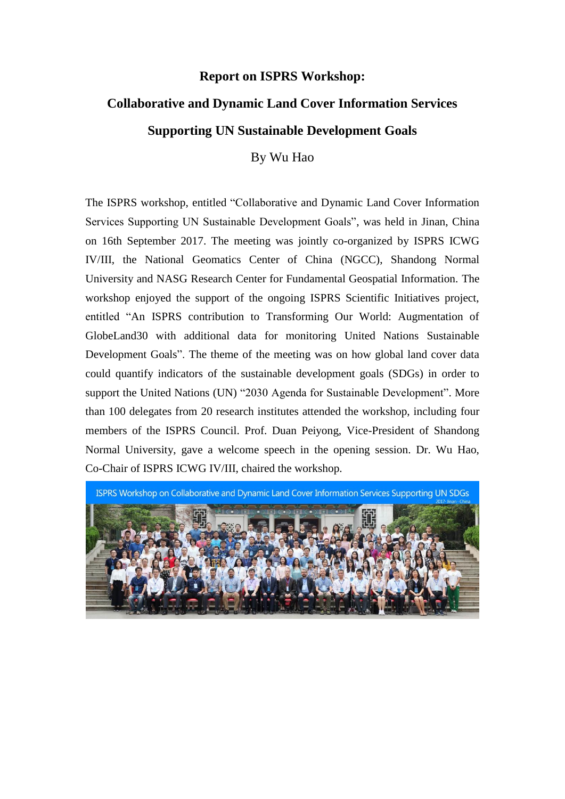## **Report on ISPRS Workshop:**

## **Collaborative and Dynamic Land Cover Information Services Supporting UN Sustainable Development Goals**

By Wu Hao

The ISPRS workshop, entitled "Collaborative and Dynamic Land Cover Information Services Supporting UN Sustainable Development Goals", was held in Jinan, China on 16th September 2017. The meeting was jointly co-organized by ISPRS ICWG IV/III, the National Geomatics Center of China (NGCC), Shandong Normal University and NASG Research Center for Fundamental Geospatial Information. The workshop enjoyed the support of the ongoing ISPRS Scientific Initiatives project, entitled "An ISPRS contribution to Transforming Our World: Augmentation of GlobeLand30 with additional data for monitoring United Nations Sustainable Development Goals". The theme of the meeting was on how global land cover data could quantify indicators of the sustainable development goals (SDGs) in order to support the United Nations (UN) "2030 Agenda for Sustainable Development". More than 100 delegates from 20 research institutes attended the workshop, including four members of the ISPRS Council. Prof. Duan Peiyong, Vice-President of Shandong Normal University, gave a welcome speech in the opening session. Dr. Wu Hao, Co-Chair of ISPRS ICWG IV/III, chaired the workshop.

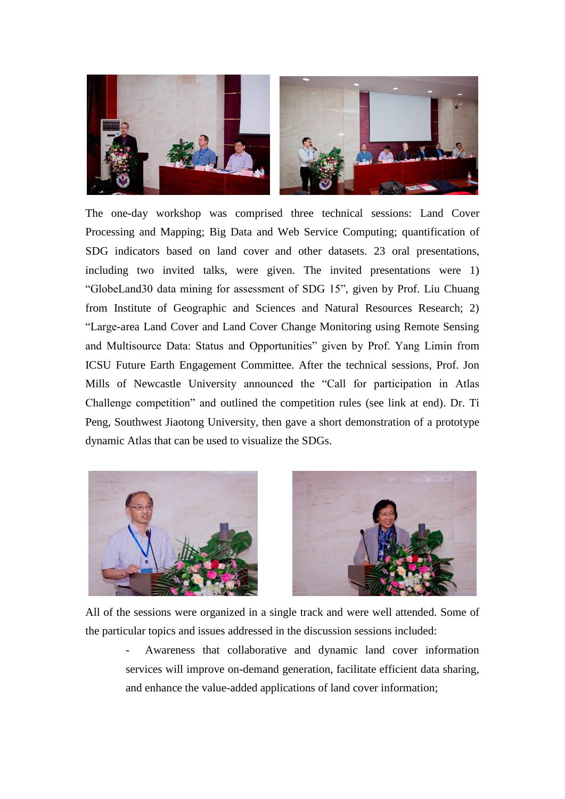

The one-day workshop was comprised three technical sessions: Land Cover Processing and Mapping; Big Data and Web Service Computing; quantification of SDG indicators based on land cover and other datasets. 23 oral presentations, including two invited talks, were given. The invited presentations were 1) "GlobeLand30 data mining for assessment of SDG 15", given by Prof. Liu Chuang from Institute of Geographic and Sciences and Natural Resources Research; 2) "Large-area Land Cover and Land Cover Change Monitoring using Remote Sensing and Multisource Data: Status and Opportunities" given by Prof. Yang Limin from ICSU Future Earth Engagement Committee. After the technical sessions, Prof. Jon Mills of Newcastle University announced the "Call for participation in Atlas Challenge competition" and outlined the competition rules (see link at end). Dr. Ti Peng, Southwest Jiaotong University, then gave a short demonstration of a prototype dynamic Atlas that can be used to visualize the SDGs.





All of the sessions were organized in a single track and were well attended. Some of the particular topics and issues addressed in the discussion sessions included:

- Awareness that collaborative and dynamic land cover information services will improve on-demand generation, facilitate efficient data sharing, and enhance the value-added applications of land cover information;